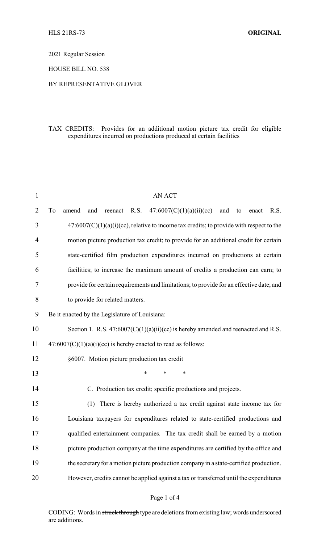2021 Regular Session

HOUSE BILL NO. 538

### BY REPRESENTATIVE GLOVER

# TAX CREDITS: Provides for an additional motion picture tax credit for eligible expenditures incurred on productions produced at certain facilities

| $\mathbf{1}$   | <b>AN ACT</b>                                                                                   |
|----------------|-------------------------------------------------------------------------------------------------|
| 2              | To<br>47:6007(C)(1)(a)(ii)(cc)<br>R.S.<br>and<br>R.S.<br>amend<br>and<br>reenact<br>to<br>enact |
| 3              | $47:6007(C)(1)(a)(i)(cc)$ , relative to income tax credits; to provide with respect to the      |
| $\overline{4}$ | motion picture production tax credit; to provide for an additional credit for certain           |
| 5              | state-certified film production expenditures incurred on productions at certain                 |
| 6              | facilities; to increase the maximum amount of credits a production can earn; to                 |
| 7              | provide for certain requirements and limitations; to provide for an effective date; and         |
| 8              | to provide for related matters.                                                                 |
| 9              | Be it enacted by the Legislature of Louisiana:                                                  |
| 10             | Section 1. R.S. $47:6007(C)(1)(a)(ii)(cc)$ is hereby amended and reenacted and R.S.             |
| 11             | $47:6007(C)(1)(a)(i)(cc)$ is hereby enacted to read as follows:                                 |
| 12             | §6007. Motion picture production tax credit                                                     |
| 13             | $\ast$<br>$\ast$<br>*                                                                           |
| 14             | C. Production tax credit; specific productions and projects.                                    |
| 15             | There is hereby authorized a tax credit against state income tax for<br>(1)                     |
| 16             | Louisiana taxpayers for expenditures related to state-certified productions and                 |
| 17             | qualified entertainment companies. The tax credit shall be earned by a motion                   |
| 18             | picture production company at the time expenditures are certified by the office and             |
| 19             | the secretary for a motion picture production company in a state-certified production.          |
| 20             | However, credits cannot be applied against a tax or transferred until the expenditures          |
|                |                                                                                                 |

Page 1 of 4

CODING: Words in struck through type are deletions from existing law; words underscored are additions.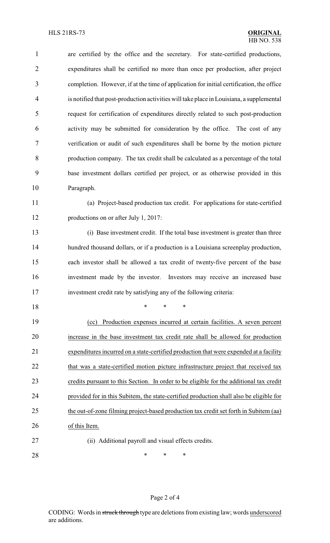are certified by the office and the secretary. For state-certified productions, expenditures shall be certified no more than once per production, after project completion. However, if at the time of application for initial certification, the office is notified that post-production activities will take place in Louisiana, a supplemental request for certification of expenditures directly related to such post-production activity may be submitted for consideration by the office. The cost of any verification or audit of such expenditures shall be borne by the motion picture production company. The tax credit shall be calculated as a percentage of the total base investment dollars certified per project, or as otherwise provided in this Paragraph. (a) Project-based production tax credit. For applications for state-certified productions on or after July 1, 2017:

 (i) Base investment credit. If the total base investment is greater than three hundred thousand dollars, or if a production is a Louisiana screenplay production, each investor shall be allowed a tax credit of twenty-five percent of the base investment made by the investor. Investors may receive an increased base investment credit rate by satisfying any of the following criteria:

\* \* \*

 (cc) Production expenses incurred at certain facilities. A seven percent increase in the base investment tax credit rate shall be allowed for production expenditures incurred on a state-certified production that were expended at a facility 22 that was a state-certified motion picture infrastructure project that received tax credits pursuant to this Section. In order to be eligible for the additional tax credit provided for in this Subitem, the state-certified production shall also be eligible for 25 the out-of-zone filming project-based production tax credit set forth in Subitem (aa) of this Item.

(ii) Additional payroll and visual effects credits.

**\*** \* \* \*

### Page 2 of 4

CODING: Words in struck through type are deletions from existing law; words underscored are additions.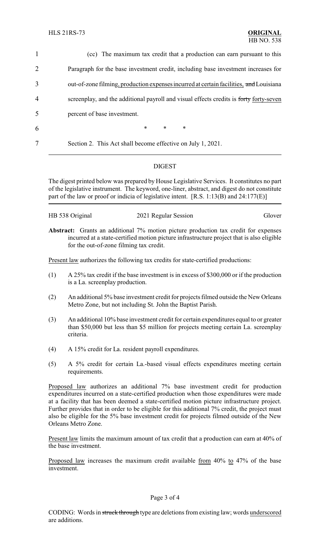| $\mathbf{1}$   | (cc) The maximum tax credit that a production can earn pursuant to this                |
|----------------|----------------------------------------------------------------------------------------|
| $\overline{2}$ | Paragraph for the base investment credit, including base investment increases for      |
| 3              | out-of-zone filming, production expenses incurred at certain facilities, and Louisiana |
| $\overline{4}$ | screenplay, and the additional payroll and visual effects credits is forty forty-seven |
| 5              | percent of base investment.                                                            |
| 6              | $\ast$<br>$\ast$<br>$\ast$                                                             |
| 7              | Section 2. This Act shall become effective on July 1, 2021.                            |

# DIGEST

The digest printed below was prepared by House Legislative Services. It constitutes no part of the legislative instrument. The keyword, one-liner, abstract, and digest do not constitute part of the law or proof or indicia of legislative intent. [R.S. 1:13(B) and 24:177(E)]

| HB 538 Original | 2021 Regular Session | Glover |
|-----------------|----------------------|--------|
|                 |                      |        |

**Abstract:** Grants an additional 7% motion picture production tax credit for expenses incurred at a state-certified motion picture infrastructure project that is also eligible for the out-of-zone filming tax credit.

Present law authorizes the following tax credits for state-certified productions:

- (1) A 25% tax credit if the base investment is in excess of \$300,000 or if the production is a La. screenplay production.
- (2) An additional 5% base investment credit for projects filmed outside the New Orleans Metro Zone, but not including St. John the Baptist Parish.
- (3) An additional 10% base investment credit for certain expenditures equal to or greater than \$50,000 but less than \$5 million for projects meeting certain La. screenplay criteria.
- (4) A 15% credit for La. resident payroll expenditures.
- (5) A 5% credit for certain La.-based visual effects expenditures meeting certain requirements.

Proposed law authorizes an additional 7% base investment credit for production expenditures incurred on a state-certified production when those expenditures were made at a facility that has been deemed a state-certified motion picture infrastructure project. Further provides that in order to be eligible for this additional 7% credit, the project must also be eligible for the 5% base investment credit for projects filmed outside of the New Orleans Metro Zone.

Present law limits the maximum amount of tax credit that a production can earn at 40% of the base investment.

Proposed law increases the maximum credit available from 40% to 47% of the base investment.

### Page 3 of 4